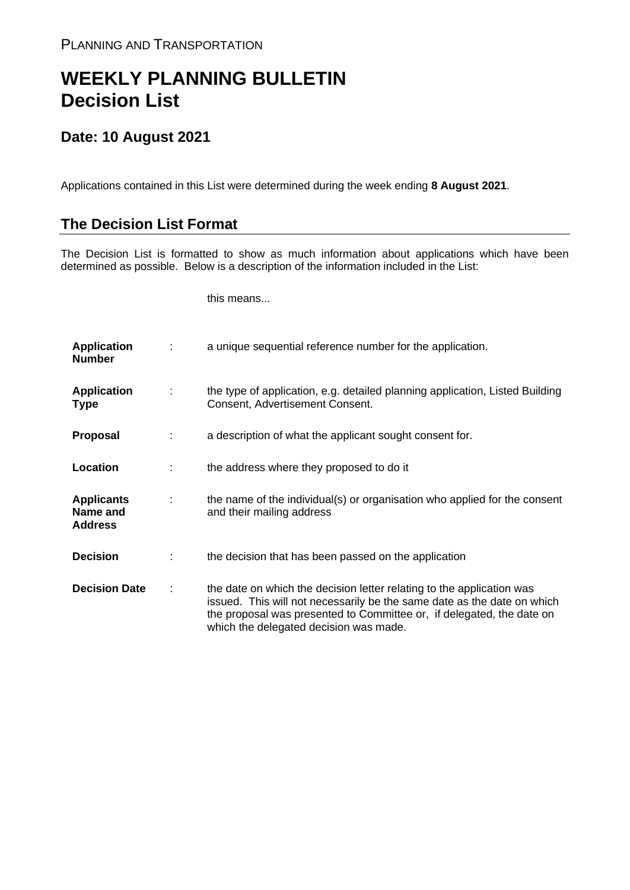## **WEEKLY PLANNING BULLETIN Decision List**

## **Date: 10 August 2021**

Applications contained in this List were determined during the week ending **8 August 2021**.

## **The Decision List Format**

The Decision List is formatted to show as much information about applications which have been determined as possible. Below is a description of the information included in the List:

this means...

| <b>Application</b><br><b>Number</b>             |   | a unique sequential reference number for the application.                                                                                                                                                                                                           |
|-------------------------------------------------|---|---------------------------------------------------------------------------------------------------------------------------------------------------------------------------------------------------------------------------------------------------------------------|
| <b>Application</b><br><b>Type</b>               | ÷ | the type of application, e.g. detailed planning application, Listed Building<br>Consent, Advertisement Consent.                                                                                                                                                     |
| Proposal                                        |   | a description of what the applicant sought consent for.                                                                                                                                                                                                             |
| Location                                        |   | the address where they proposed to do it                                                                                                                                                                                                                            |
| <b>Applicants</b><br>Name and<br><b>Address</b> |   | the name of the individual(s) or organisation who applied for the consent<br>and their mailing address                                                                                                                                                              |
| <b>Decision</b>                                 |   | the decision that has been passed on the application                                                                                                                                                                                                                |
| <b>Decision Date</b>                            |   | the date on which the decision letter relating to the application was<br>issued. This will not necessarily be the same date as the date on which<br>the proposal was presented to Committee or, if delegated, the date on<br>which the delegated decision was made. |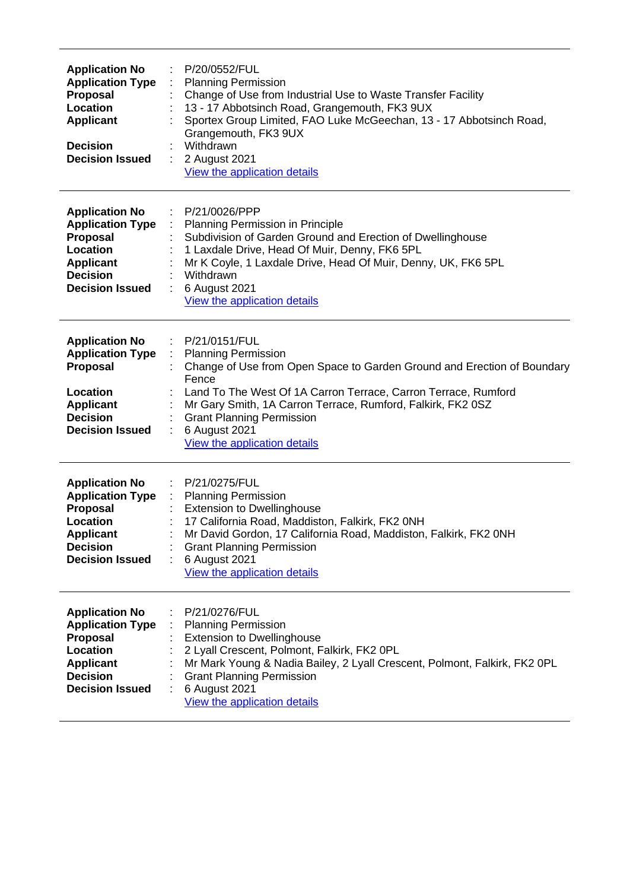| <b>Application No</b><br><b>Application Type</b><br><b>Proposal</b><br>Location<br><b>Applicant</b><br><b>Decision</b><br><b>Decision Issued</b> | P/20/0552/FUL<br><b>Planning Permission</b><br>Change of Use from Industrial Use to Waste Transfer Facility<br>13 - 17 Abbotsinch Road, Grangemouth, FK3 9UX<br>Sportex Group Limited, FAO Luke McGeechan, 13 - 17 Abbotsinch Road,<br>Grangemouth, FK3 9UX<br>Withdrawn<br>2 August 2021<br>÷<br>View the application details                        |
|--------------------------------------------------------------------------------------------------------------------------------------------------|-------------------------------------------------------------------------------------------------------------------------------------------------------------------------------------------------------------------------------------------------------------------------------------------------------------------------------------------------------|
| <b>Application No</b><br><b>Application Type</b><br><b>Proposal</b><br>Location<br><b>Applicant</b><br><b>Decision</b><br><b>Decision Issued</b> | P/21/0026/PPP<br>Planning Permission in Principle<br>Subdivision of Garden Ground and Erection of Dwellinghouse<br>1 Laxdale Drive, Head Of Muir, Denny, FK6 5PL<br>Mr K Coyle, 1 Laxdale Drive, Head Of Muir, Denny, UK, FK6 5PL<br>Withdrawn<br>6 August 2021<br>View the application details                                                       |
| <b>Application No</b><br><b>Application Type</b><br>Proposal<br>Location<br><b>Applicant</b><br><b>Decision</b><br><b>Decision Issued</b>        | P/21/0151/FUL<br><b>Planning Permission</b><br>Change of Use from Open Space to Garden Ground and Erection of Boundary<br>Fence<br>Land To The West Of 1A Carron Terrace, Carron Terrace, Rumford<br>Mr Gary Smith, 1A Carron Terrace, Rumford, Falkirk, FK2 0SZ<br><b>Grant Planning Permission</b><br>6 August 2021<br>View the application details |
| <b>Application No</b><br><b>Application Type</b><br><b>Proposal</b><br>Location<br><b>Applicant</b><br><b>Decision</b><br><b>Decision Issued</b> | P/21/0275/FUL<br>÷<br><b>Planning Permission</b><br>÷.<br><b>Extension to Dwellinghouse</b><br>17 California Road, Maddiston, Falkirk, FK2 0NH<br>Mr David Gordon, 17 California Road, Maddiston, Falkirk, FK2 0NH<br><b>Grant Planning Permission</b><br>6 August 2021<br>View the application details                                               |
| <b>Application No</b><br><b>Application Type</b><br><b>Proposal</b><br>Location<br><b>Applicant</b><br><b>Decision</b><br><b>Decision Issued</b> | P/21/0276/FUL<br><b>Planning Permission</b><br><b>Extension to Dwellinghouse</b><br>2 Lyall Crescent, Polmont, Falkirk, FK2 0PL<br>Mr Mark Young & Nadia Bailey, 2 Lyall Crescent, Polmont, Falkirk, FK2 OPL<br><b>Grant Planning Permission</b><br>6 August 2021<br>View the application details                                                     |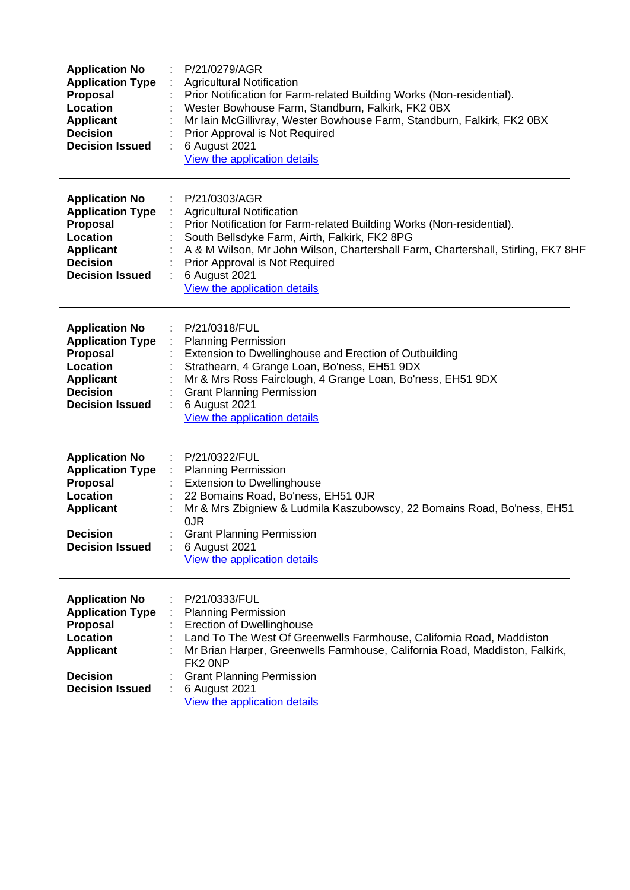| <b>Application No</b><br><b>Application Type</b><br><b>Proposal</b><br>Location<br><b>Applicant</b><br><b>Decision</b><br><b>Decision Issued</b>        | P/21/0279/AGR<br><b>Agricultural Notification</b><br>Prior Notification for Farm-related Building Works (Non-residential).<br>Wester Bowhouse Farm, Standburn, Falkirk, FK2 0BX<br>Mr Iain McGillivray, Wester Bowhouse Farm, Standburn, Falkirk, FK2 0BX<br>Prior Approval is Not Required<br>6 August 2021<br>View the application details       |
|---------------------------------------------------------------------------------------------------------------------------------------------------------|----------------------------------------------------------------------------------------------------------------------------------------------------------------------------------------------------------------------------------------------------------------------------------------------------------------------------------------------------|
| <b>Application No</b><br><b>Application Type</b><br>Proposal<br>Location<br><b>Applicant</b><br><b>Decision</b><br><b>Decision Issued</b>               | P/21/0303/AGR<br><b>Agricultural Notification</b><br>Prior Notification for Farm-related Building Works (Non-residential).<br>South Bellsdyke Farm, Airth, Falkirk, FK2 8PG<br>A & M Wilson, Mr John Wilson, Chartershall Farm, Chartershall, Stirling, FK7 8HF<br>Prior Approval is Not Required<br>6 August 2021<br>View the application details |
| <b>Application No</b><br><b>Application Type</b><br><b>Proposal</b><br>Location<br><b>Applicant</b><br><b>Decision</b><br><b>Decision Issued</b>        | P/21/0318/FUL<br><b>Planning Permission</b><br>Extension to Dwellinghouse and Erection of Outbuilding<br>Strathearn, 4 Grange Loan, Bo'ness, EH51 9DX<br>Mr & Mrs Ross Fairclough, 4 Grange Loan, Bo'ness, EH51 9DX<br><b>Grant Planning Permission</b><br>6 August 2021<br>View the application details                                           |
| <b>Application No</b><br><b>Application Type</b><br><b>Proposal</b><br><b>Location</b><br><b>Applicant</b><br><b>Decision</b><br><b>Decision Issued</b> | P/21/0322/FUL<br><b>Planning Permission</b><br><b>Extension to Dwellinghouse</b><br>22 Bomains Road, Bo'ness, EH51 OJR<br>Mr & Mrs Zbigniew & Ludmila Kaszubowscy, 22 Bomains Road, Bo'ness, EH51<br>0JR<br><b>Grant Planning Permission</b><br>6 August 2021<br>View the application details                                                      |
| <b>Application No</b><br><b>Application Type</b><br><b>Proposal</b><br><b>Location</b><br><b>Applicant</b><br><b>Decision</b><br><b>Decision Issued</b> | P/21/0333/FUL<br><b>Planning Permission</b><br><b>Erection of Dwellinghouse</b><br>Land To The West Of Greenwells Farmhouse, California Road, Maddiston<br>Mr Brian Harper, Greenwells Farmhouse, California Road, Maddiston, Falkirk,<br>FK <sub>2</sub> ONP<br><b>Grant Planning Permission</b><br>6 August 2021<br>View the application details |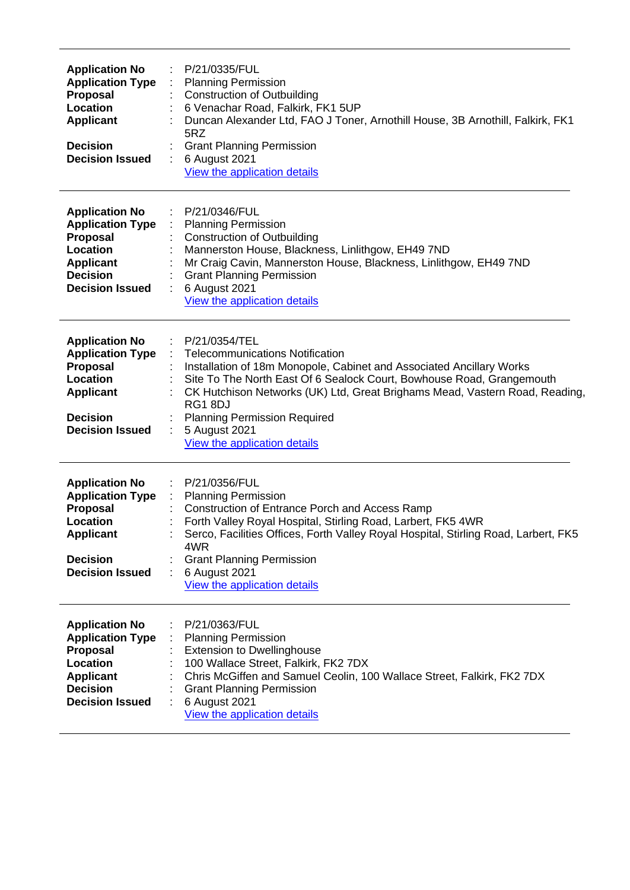| <b>Application No</b><br><b>Application Type</b><br>Proposal<br>Location<br><b>Applicant</b><br><b>Decision</b><br><b>Decision Issued</b>        | P/21/0335/FUL<br><b>Planning Permission</b><br><b>Construction of Outbuilding</b><br>6 Venachar Road, Falkirk, FK1 5UP<br>Duncan Alexander Ltd, FAO J Toner, Arnothill House, 3B Arnothill, Falkirk, FK1<br>5RZ<br><b>Grant Planning Permission</b><br>6 August 2021<br>÷<br>View the application details                                                                                      |
|--------------------------------------------------------------------------------------------------------------------------------------------------|------------------------------------------------------------------------------------------------------------------------------------------------------------------------------------------------------------------------------------------------------------------------------------------------------------------------------------------------------------------------------------------------|
| <b>Application No</b><br><b>Application Type</b><br>Proposal<br>Location<br><b>Applicant</b><br><b>Decision</b><br><b>Decision Issued</b>        | P/21/0346/FUL<br><b>Planning Permission</b><br><b>Construction of Outbuilding</b><br>Mannerston House, Blackness, Linlithgow, EH49 7ND<br>Mr Craig Cavin, Mannerston House, Blackness, Linlithgow, EH49 7ND<br><b>Grant Planning Permission</b><br>6 August 2021<br>View the application details                                                                                               |
| <b>Application No</b><br><b>Application Type</b><br><b>Proposal</b><br>Location<br><b>Applicant</b><br><b>Decision</b><br><b>Decision Issued</b> | P/21/0354/TEL<br><b>Telecommunications Notification</b><br>Installation of 18m Monopole, Cabinet and Associated Ancillary Works<br>Site To The North East Of 6 Sealock Court, Bowhouse Road, Grangemouth<br>CK Hutchison Networks (UK) Ltd, Great Brighams Mead, Vastern Road, Reading,<br>RG18DJ<br><b>Planning Permission Required</b><br>5 August 2021<br>÷<br>View the application details |
| <b>Application No</b><br><b>Application Type</b><br>Proposal<br><b>Location</b><br><b>Applicant</b><br><b>Decision</b><br><b>Decision Issued</b> | P/21/0356/FUL<br><b>Planning Permission</b><br><b>Construction of Entrance Porch and Access Ramp</b><br>Forth Valley Royal Hospital, Stirling Road, Larbert, FK5 4WR<br>Serco, Facilities Offices, Forth Valley Royal Hospital, Stirling Road, Larbert, FK5<br>4WR<br><b>Grant Planning Permission</b><br>6 August 2021<br>View the application details                                        |
| <b>Application No</b><br><b>Application Type</b><br><b>Proposal</b><br>Location<br><b>Applicant</b><br><b>Decision</b><br><b>Decision Issued</b> | P/21/0363/FUL<br><b>Planning Permission</b><br><b>Extension to Dwellinghouse</b><br>100 Wallace Street, Falkirk, FK2 7DX<br>Chris McGiffen and Samuel Ceolin, 100 Wallace Street, Falkirk, FK2 7DX<br><b>Grant Planning Permission</b><br>6 August 2021<br>View the application details                                                                                                        |